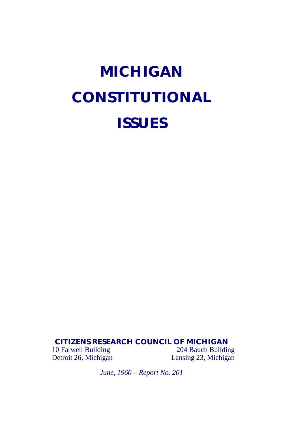# **MICHIGAN CONSTITUTIONAL ISSUES**

#### **CITIZENS RESEARCH COUNCIL OF MICHIGAN**

10 Farwell Building<br>
204 Bauch Building<br>
204 Bauch Building<br>
204 Bauch Building<br>
204 Bauch Building<br>
204 Bauch Building Lansing 23, Michigan

*June, 1960 – Report No. 201*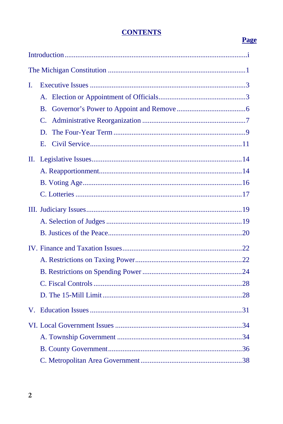## **CONTENTS**

# **Page**

| L   |                 |  |  |
|-----|-----------------|--|--|
|     | $A_{-}$         |  |  |
|     | B.              |  |  |
|     | $\mathcal{C}$ . |  |  |
|     | D               |  |  |
|     | $E_{\rm c}$     |  |  |
| II. |                 |  |  |
|     |                 |  |  |
|     |                 |  |  |
|     |                 |  |  |
|     |                 |  |  |
|     |                 |  |  |
|     |                 |  |  |
|     |                 |  |  |
|     |                 |  |  |
|     |                 |  |  |
|     |                 |  |  |
|     |                 |  |  |
|     |                 |  |  |
|     |                 |  |  |
|     |                 |  |  |
|     |                 |  |  |
|     |                 |  |  |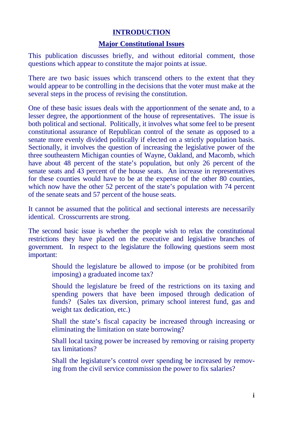#### **INTRODUCTION**

#### **Major Constitutional Issues**

This publication discusses briefly, and without editorial comment, those questions which appear to constitute the major points at issue.

There are two basic issues which transcend others to the extent that they would appear to be controlling in the decisions that the voter must make at the several steps in the process of revising the constitution.

One of these basic issues deals with the apportionment of the senate and, to a lesser degree, the apportionment of the house of representatives. The issue is both political and sectional. Politically, it involves what some feel to be present constitutional assurance of Republican control of the senate as opposed to a senate more evenly divided politically if elected on a strictly population basis. Sectionally, it involves the question of increasing the legislative power of the three southeastern Michigan counties of Wayne, Oakland, and Macomb, which have about 48 percent of the state's population, but only 26 percent of the senate seats and 43 percent of the house seats. An increase in representatives for these counties would have to be at the expense of the other 80 counties, which now have the other 52 percent of the state's population with 74 percent of the senate seats and 57 percent of the house seats.

It cannot be assumed that the political and sectional interests are necessarily identical. Crosscurrents are strong.

The second basic issue is whether the people wish to relax the constitutional restrictions they have placed on the executive and legislative branches of government. In respect to the legislature the following questions seem most important:

- Should the legislature be allowed to impose (or be prohibited from imposing) a graduated income tax?
- Should the legislature be freed of the restrictions on its taxing and spending powers that have been imposed through dedication of funds? (Sales tax diversion, primary school interest fund, gas and weight tax dedication, etc.)
- Shall the state's fiscal capacity be increased through increasing or eliminating the limitation on state borrowing?
- Shall local taxing power be increased by removing or raising property tax limitations?
- Shall the legislature's control over spending be increased by removing from the civil service commission the power to fix salaries?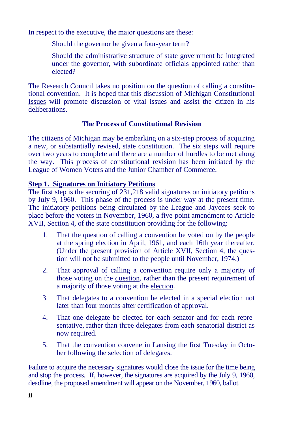In respect to the executive, the major questions are these:

- Should the governor be given a four-year term?
- Should the administrative structure of state government be integrated under the governor, with subordinate officials appointed rather than elected?

The Research Council takes no position on the question of calling a constitutional convention. It is hoped that this discussion of Michigan Constitutional Issues will promote discussion of vital issues and assist the citizen in his deliberations.

### **The Process of Constitutional Revision**

The citizens of Michigan may be embarking on a six-step process of acquiring a new, or substantially revised, state constitution. The six steps will require over two years to complete and there are a number of hurdles to be met along the way. This process of constitutional revision has been initiated by the League of Women Voters and the Junior Chamber of Commerce.

#### **Step 1. Signatures on Initiatory Petitions**

The first step is the securing of 231,218 valid signatures on initiatory petitions by July 9, 1960. This phase of the process is under way at the present time. The initiatory petitions being circulated by the League and Jaycees seek to place before the voters in November, 1960, a five-point amendment to Article XVII, Section 4, of the state constitution providing for the following:

- 1. That the question of calling a convention be voted on by the people at the spring election in April, 1961, and each 16th year thereafter. (Under the present provision of Article XVII, Section 4, the question will not be submitted to the people until November, 1974.)
- 2. That approval of calling a convention require only a majority of those voting on the question, rather than the present requirement of a majority of those voting at the election.
- 3. That delegates to a convention be elected in a special election not later than four months after certification of approval.
- 4. That one delegate be elected for each senator and for each representative, rather than three delegates from each senatorial district as now required.
- 5. That the convention convene in Lansing the first Tuesday in October following the selection of delegates.

Failure to acquire the necessary signatures would close the issue for the time being and stop the process. If, however, the signatures are acquired by the July 9, 1960, deadline, the proposed amendment will appear on the November, 1960, ballot.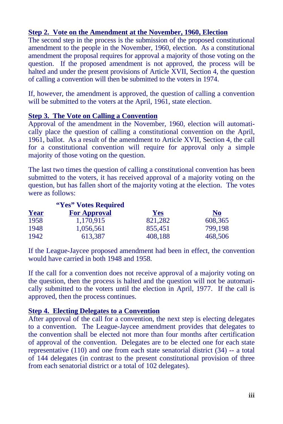#### **Step 2. Vote on the Amendment at the November, 1960, Election**

The second step in the process is the submission of the proposed constitutional amendment to the people in the November, 1960, election. As a constitutional amendment the proposal requires for approval a majority of those voting on the question. If the proposed amendment is not approved, the process will be halted and under the present provisions of Article XVII, Section 4, the question of calling a convention will then be submitted to the voters in 1974.

If, however, the amendment is approved, the question of calling a convention will be submitted to the voters at the April, 1961, state election.

#### **Step 3. The Vote on Calling a Convention**

Approval of the amendment in the November, 1960, election will automatically place the question of calling a constitutional convention on the April, 1961, ballot. As a result of the amendment to Article XVII, Section 4, the call for a constitutional convention will require for approval only a simple majority of those voting on the question.

The last two times the question of calling a constitutional convention has been submitted to the voters, it has received approval of a majority voting on the question, but has fallen short of the majority voting at the election. The votes were as follows:

|      | "Yes" Votes Required |            |           |
|------|----------------------|------------|-----------|
| Year | <b>For Approval</b>  | <b>Yes</b> | <u>No</u> |
| 1958 | 1.170.915            | 821,282    | 608,365   |
| 1948 | 1,056,561            | 855.451    | 799,198   |
| 1942 | 613,387              | 408,188    | 468,506   |

If the League-Jaycee proposed amendment had been in effect, the convention would have carried in both 1948 and 1958.

If the call for a convention does not receive approval of a majority voting on the question, then the process is halted and the question will not be automatically submitted to the voters until the election in April, 1977. If the call is approved, then the process continues.

#### **Step 4. Electing Delegates to a Convention**

After approval of the call for a convention, the next step is electing delegates to a convention. The League-Jaycee amendment provides that delegates to the convention shall be elected not more than four months after certification of approval of the convention. Delegates are to be elected one for each state representative (110) and one from each state senatorial district (34) -- a total of 144 delegates (in contrast to the present constitutional provision of three from each senatorial district or a total of 102 delegates).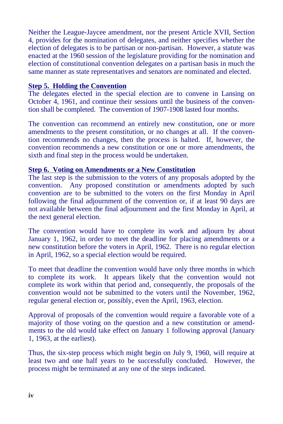Neither the League-Jaycee amendment, nor the present Article XVII, Section 4, provides for the nomination of delegates, and neither specifies whether the election of delegates is to be partisan or non-partisan. However, a statute was enacted at the 1960 session of the legislature providing for the nomination and election of constitutional convention delegates on a partisan basis in much the same manner as state representatives and senators are nominated and elected.

#### **Step 5. Holding the Convention**

The delegates elected in the special election are to convene in Lansing on October 4, 1961, and continue their sessions until the business of the convention shall be completed. The convention of 1907-1908 lasted four months.

The convention can recommend an entirely new constitution, one or more amendments to the present constitution, or no changes at all. If the convention recommends no changes, then the process is halted. If, however, the convention recommends a new constitution or one or more amendments, the sixth and final step in the process would be undertaken.

#### **Step 6. Voting on Amendments or a New Constitution**

The last step is the submission to the voters of any proposals adopted by the convention. Any proposed constitution or amendments adopted by such convention are to be submitted to the voters on the first Monday in April following the final adjournment of the convention or, if at least 90 days are not available between the final adjournment and the first Monday in April, at the next general election.

The convention would have to complete its work and adjourn by about January 1, 1962, in order to meet the deadline for placing amendments or a new constitution before the voters in April, 1962. There is no regular election in April, 1962, so a special election would be required.

To meet that deadline the convention would have only three months in which to complete its work. It appears likely that the convention would not complete its work within that period and, consequently, the proposals of the convention would not be submitted to the voters until the November, 1962, regular general election or, possibly, even the April, 1963, election.

Approval of proposals of the convention would require a favorable vote of a majority of those voting on the question and a new constitution or amendments to the old would take effect on January 1 following approval (January 1, 1963, at the earliest).

Thus, the six-step process which might begin on July 9, 1960, will require at least two and one half years to be successfully concluded. However, the process might be terminated at any one of the steps indicated.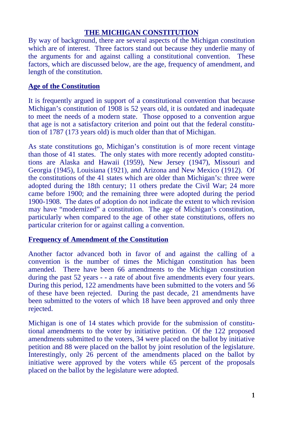#### **THE MICHIGAN CONSTITUTION**

By way of background, there are several aspects of the Michigan constitution which are of interest. Three factors stand out because they underlie many of the arguments for and against calling a constitutional convention. These factors, which are discussed below, are the age, frequency of amendment, and length of the constitution.

#### **Age of the Constitution**

It is frequently argued in support of a constitutional convention that because Michigan's constitution of 1908 is 52 years old, it is outdated and inadequate to meet the needs of a modern state. Those opposed to a convention argue that age is not a satisfactory criterion and point out that the federal constitution of 1787 (173 years old) is much older than that of Michigan.

As state constitutions go, Michigan's constitution is of more recent vintage than those of 41 states. The only states with more recently adopted constitutions are Alaska and Hawaii (1959), New Jersey (1947), Missouri and Georgia (1945), Louisiana (1921), and Arizona and New Mexico (1912). Of the constitutions of the 41 states which are older than Michigan's: three were adopted during the 18th century; 11 others predate the Civil War; 24 more came before 1900; and the remaining three were adopted during the period 1900-1908. The dates of adoption do not indicate the extent to which revision may have "modernized" a constitution. The age of Michigan's constitution, particularly when compared to the age of other state constitutions, offers no particular criterion for or against calling a convention.

#### **Frequency of Amendment of the Constitution**

Another factor advanced both in favor of and against the calling of a convention is the number of times the Michigan constitution has been amended. There have been 66 amendments to the Michigan constitution during the past 52 years - - a rate of about five amendments every four years. During this period, 122 amendments have been submitted to the voters and 56 of these have been rejected. During the past decade, 21 amendments have been submitted to the voters of which 18 have been approved and only three rejected.

Michigan is one of 14 states which provide for the submission of constitutional amendments to the voter by initiative petition. Of the 122 proposed amendments submitted to the voters, 34 were placed on the ballot by initiative petition and 88 were placed on the ballot by joint resolution of the legislature. Interestingly, only 26 percent of the amendments placed on the ballot by initiative were approved by the voters while 65 percent of the proposals placed on the ballot by the legislature were adopted.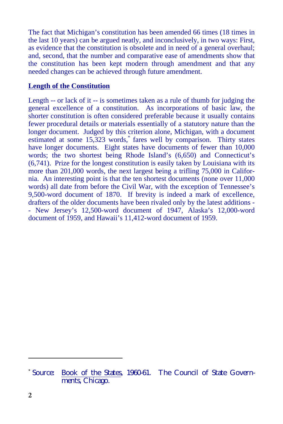The fact that Michigan's constitution has been amended 66 times (18 times in the last 10 years) can be argued neatly, and inconclusively, in two ways: First, as evidence that the constitution is obsolete and in need of a general overhaul; and, second, that the number and comparative ease of amendments show that the constitution has been kept modern through amendment and that any needed changes can be achieved through future amendment.

#### **Length of the Constitution**

Length -- or lack of it -- is sometimes taken as a rule of thumb for judging the general excellence of a constitution. As incorporations of basic law, the shorter constitution is often considered preferable because it usually contains fewer procedural details or materials essentially of a statutory nature than the longer document. Judged by this criterion alone, Michigan, with a document estimated at some 15,323 words, fares well by comparison. Thirty states have longer documents. Eight states have documents of fewer than 10,000 words; the two shortest being Rhode Island's (6,650) and Connecticut's (6,741). Prize for the longest constitution is easily taken by Louisiana with its more than 201,000 words, the next largest being a trifling 75,000 in California. An interesting point is that the ten shortest documents (none over 11,000 words) all date from before the Civil War, with the exception of Tennessee's 9,500-word document of 1870. If brevity is indeed a mark of excellence, drafters of the older documents have been rivaled only by the latest additions - - New Jersey's 12,500-word document of 1947, Alaska's 12,000-word document of 1959, and Hawaii's 11,412-word document of 1959.

 $\overline{a}$ 

<sup>\*</sup> Source: Book of the States, 1960-61. The Council of State Governments, Chicago.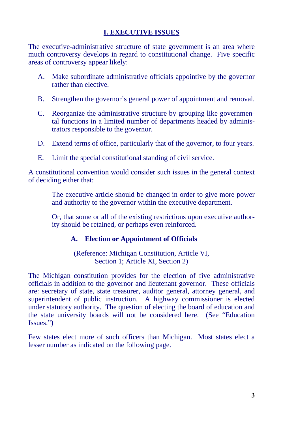The executive-administrative structure of state government is an area where much controversy develops in regard to constitutional change. Five specific areas of controversy appear likely:

- A. Make subordinate administrative officials appointive by the governor rather than elective.
- B. Strengthen the governor's general power of appointment and removal.
- C. Reorganize the administrative structure by grouping like governmental functions in a limited number of departments headed by administrators responsible to the governor.
- D. Extend terms of office, particularly that of the governor, to four years.
- E. Limit the special constitutional standing of civil service.

A constitutional convention would consider such issues in the general context of deciding either that:

- The executive article should be changed in order to give more power and authority to the governor within the executive department.
- Or, that some or all of the existing restrictions upon executive authority should be retained, or perhaps even reinforced.

#### **A. Election or Appointment of Officials**

(Reference: Michigan Constitution, Article VI, Section 1; Article XI, Section 2)

**I. EXECUTIVE ISSUES**<br>
ive structure of state government is an area where the spin regard to constitutional change. Five specific<br> *i* r likely:<br>
administrative officials appointive by the governor e.<br>
e.<br>
wernor's general The Michigan constitution provides for the election of five administrative officials in addition to the governor and lieutenant governor. These officials are: secretary of state, state treasurer, auditor general, attorney general, and superintendent of public instruction. A highway commissioner is elected under statutory authority. The question of electing the board of education and the state university boards will not be considered here. (See "Education Issues.")

Few states elect more of such officers than Michigan. Most states elect a lesser number as indicated on the following page.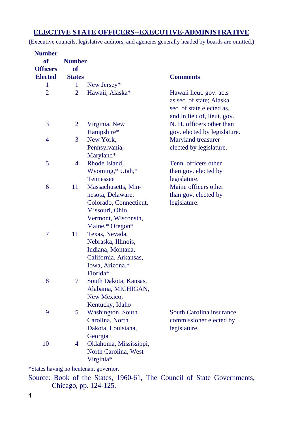#### **ELECTIVE STATE OFFICERS--EXECUTIVE-ADMINISTRATIVE**

(Executive councils, legislative auditors, and agencies generally headed by boards are omitted.)

| <b>Number</b>   |                |                           |                              |
|-----------------|----------------|---------------------------|------------------------------|
| of              | <b>Number</b>  |                           |                              |
| <b>Officers</b> | of             |                           |                              |
| <b>Elected</b>  | <b>States</b>  |                           | <b>Comments</b>              |
| 1               | 1              | New Jersey*               |                              |
| $\overline{2}$  | $\overline{2}$ | Hawaii, Alaska*           | Hawaii lieut. gov. acts      |
|                 |                |                           | as sec. of state; Alaska     |
|                 |                |                           | sec. of state elected as,    |
|                 |                |                           | and in lieu of, lieut. gov.  |
| 3               | $\overline{2}$ | Virginia, New             | N. H. officers other than    |
|                 |                | Hampshire*                | gov. elected by legislature. |
| 4               | 3              | New York,                 | Maryland treasurer           |
|                 |                | Pennsylvania,             | elected by legislature.      |
|                 |                | Maryland*                 |                              |
| 5               | 4              | Rhode Island,             | Tenn, officers other         |
|                 |                | Wyoming,* Utah,*          | than gov. elected by         |
|                 |                | Tennessee                 | legislature.                 |
| 6               | 11             | Massachusetts, Min-       | Maine officers other         |
|                 |                | nesota, Delaware,         | than gov. elected by         |
|                 |                | Colorado, Connecticut,    | legislature.                 |
|                 |                | Missouri, Ohio,           |                              |
|                 |                | Vermont, Wisconsin,       |                              |
|                 |                | Maine,* Oregon*           |                              |
| $\overline{7}$  | 11             | Texas, Nevada,            |                              |
|                 |                | Nebraska, Illinois,       |                              |
|                 |                | Indiana, Montana,         |                              |
|                 |                | California, Arkansas,     |                              |
|                 |                | Iowa, Arizona,*           |                              |
|                 |                | Florida*                  |                              |
| 8               | 7              | South Dakota, Kansas,     |                              |
|                 |                | Alabama, MICHIGAN,        |                              |
|                 |                | New Mexico,               |                              |
|                 |                | Kentucky, Idaho           |                              |
| 9               | 5              | <b>Washington</b> , South | South Carolina insurance     |
|                 |                | Carolina, North           | commissioner elected by      |
|                 |                | Dakota, Louisiana,        | legislature.                 |
|                 |                | Georgia                   |                              |
| 10              | 4              | Oklahoma, Mississippi,    |                              |
|                 |                | North Carolina, West      |                              |
|                 |                | Virginia*                 |                              |

\*States having no lieutenant governor.

Source: Book of the States, 1960-61, The Council of State Governments, Chicago, pp. 124-125.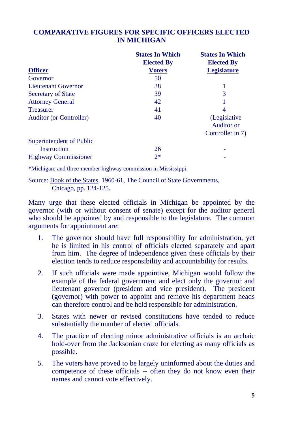#### **COMPARATIVE FIGURES FOR SPECIFIC OFFICERS ELECTED IN MICHIGAN**

|                                | <b>States In Which</b><br><b>Elected By</b> | <b>States In Which</b><br><b>Elected By</b> |
|--------------------------------|---------------------------------------------|---------------------------------------------|
| <b>Officer</b>                 | <b>Voters</b>                               | <b>Legislature</b>                          |
| Governor                       | 50                                          |                                             |
| <b>Lieutenant Governor</b>     | 38                                          |                                             |
| <b>Secretary of State</b>      | 39                                          | 3                                           |
| <b>Attorney General</b>        | 42                                          |                                             |
| <b>Treasurer</b>               | 41                                          | 4                                           |
| <b>Auditor</b> (or Controller) | 40                                          | (Legislative)<br>Auditor or                 |
|                                |                                             | Controller in 7)                            |
| Superintendent of Public       |                                             |                                             |
| Instruction                    | 26                                          |                                             |
| <b>Highway Commissioner</b>    | $2*$                                        |                                             |

\*Michigan; and three-member highway commission in Mississippi.

Source: Book of the States, 1960-61, The Council of State Governments, Chicago, pp. 124-125.

Many urge that these elected officials in Michigan be appointed by the governor (with or without consent of senate) except for the auditor general who should be appointed by and responsible to the legislature. The common arguments for appointment are:

- 1. The governor should have full responsibility for administration, yet he is limited in his control of officials elected separately and apart from him. The degree of independence given these officials by their election tends to reduce responsibility and accountability for results.
- 2. If such officials were made appointive, Michigan would follow the example of the federal government and elect only the governor and lieutenant governor (president and vice president). The president (governor) with power to appoint and remove his department heads can therefore control and be held responsible for administration.
- 3. States with newer or revised constitutions have tended to reduce substantially the number of elected officials.
- 4. The practice of electing minor administrative officials is an archaic hold-over from the Jacksonian craze for electing as many officials as possible.
- 5. The voters have proved to be largely uninformed about the duties and competence of these officials -- often they do not know even their names and cannot vote effectively.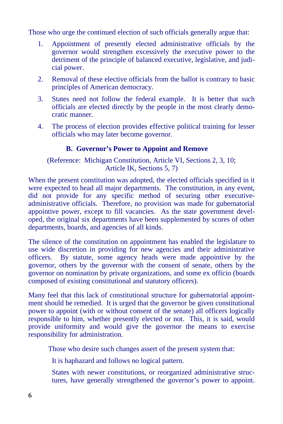Those who urge the continued election of such officials generally argue that:

- 1. Appointment of presently elected administrative officials by the governor would strengthen excessively the executive power to the detriment of the principle of balanced executive, legislative, and judicial power.
- 2. Removal of these elective officials from the ballot is contrary to basic principles of American democracy.
- 3. States need not follow the federal example. It is better that such officials are elected directly by the people in the most clearly democratic manner.
- 4. The process of election provides effective political training for lesser officials who may later become governor.

### **B. Governor's Power to Appoint and Remove**

(Reference: Michigan Constitution, Article VI, Sections 2, 3, 10; Article IK, Sections 5, 7)

When the present constitution was adopted, the elected officials specified in it were expected to head all major departments. The constitution, in any event, did not provide for any specific method of securing other executiveadministrative officials. Therefore, no provision was made for gubernatorial appointive power, except to fill vacancies. As the state government developed, the original six departments have been supplemented by scores of other departments, boards, and agencies of all kinds.

The silence of the constitution on appointment has enabled the legislature to use wide discretion in providing for new agencies and their administrative officers. By statute, some agency heads were made appointive by the governor, others by the governor with the consent of senate, others by the governor on nomination by private organizations, and some ex officio (boards composed of existing constitutional and statutory officers).

Many feel that this lack of constitutional structure for gubernatorial appointment should be remedied. It is urged that the governor be given constitutional power to appoint (with or without consent of the senate) all officers logically responsible to him, whether presently elected or not. This, it is said, would provide uniformity and would give the governor the means to exercise responsibility for administration.

Those who desire such changes assert of the present system that:

- $\equiv$  It is haphazard and follows no logical pattern.
- States with newer constitutions, or reorganized administrative structures, have generally strengthened the governor's power to appoint.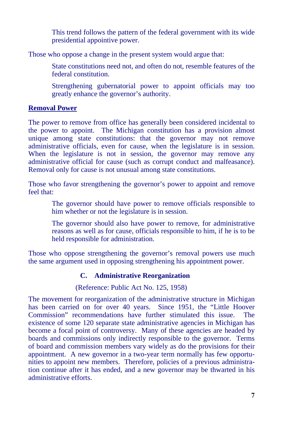This trend follows the pattern of the federal government with its wide presidential appointive power.

Those who oppose a change in the present system would argue that:

- State constitutions need not, and often do not, resemble features of the federal constitution.
- Strengthening gubernatorial power to appoint officials may too greatly enhance the governor's authority.

#### **Removal Power**

The power to remove from office has generally been considered incidental to the power to appoint. The Michigan constitution has a provision almost unique among state constitutions: that the governor may not remove administrative officials, even for cause, when the legislature is in session. When the legislature is not in session, the governor may remove any administrative official for cause (such as corrupt conduct and malfeasance). Removal only for cause is not unusual among state constitutions.

Those who favor strengthening the governor's power to appoint and remove feel that:

- The governor should have power to remove officials responsible to him whether or not the legislature is in session.
- The governor should also have power to remove, for administrative reasons as well as for cause, officials responsible to him, if he is to be held responsible for administration.

Those who oppose strengthening the governor's removal powers use much the same argument used in opposing strengthening his appointment power.

#### **C. Administrative Reorganization**

#### (Reference: Public Act No. 125, 1958)

The movement for reorganization of the administrative structure in Michigan has been carried on for over 40 years. Since 1951, the "Little Hoover Commission" recommendations have further stimulated this issue. The existence of some 120 separate state administrative agencies in Michigan has become a focal point of controversy. Many of these agencies are headed by boards and commissions only indirectly responsible to the governor. Terms of board and commission members vary widely as do the provisions for their appointment. A new governor in a two-year term normally has few opportunities to appoint new members. Therefore, policies of a previous administration continue after it has ended, and a new governor may be thwarted in his administrative efforts.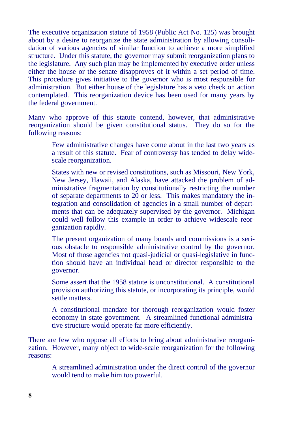The executive organization statute of 1958 (Public Act No. 125) was brought about by a desire to reorganize the state administration by allowing consolidation of various agencies of similar function to achieve a more simplified structure. Under this statute, the governor may submit reorganization plans to the legislature. Any such plan may be implemented by executive order unless either the house or the senate disapproves of it within a set period of time. This procedure gives initiative to the governor who is most responsible for administration. But either house of the legislature has a veto check on action contemplated. This reorganization device has been used for many years by the federal government.

Many who approve of this statute contend, however, that administrative reorganization should be given constitutional status. They do so for the following reasons:

- Few administrative changes have come about in the last two years as a result of this statute. Fear of controversy has tended to delay widescale reorganization.
- States with new or revised constitutions, such as Missouri, New York, New Jersey, Hawaii, and Alaska, have attacked the problem of administrative fragmentation by constitutionally restricting the number of separate departments to 20 or less. This makes mandatory the integration and consolidation of agencies in a small number of departments that can be adequately supervised by the governor. Michigan could well follow this example in order to achieve widescale reorganization rapidly.
- The present organization of many boards and commissions is a serious obstacle to responsible administrative control by the governor. Most of those agencies not quasi-judicial or quasi-legislative in function should have an individual head or director responsible to the governor.
- Some assert that the 1958 statute is unconstitutional. A constitutional provision authorizing this statute, or incorporating its principle, would settle matters.
- A constitutional mandate for thorough reorganization would foster economy in state government. A streamlined functional administrative structure would operate far more efficiently.

There are few who oppose all efforts to bring about administrative reorganization. However, many object to wide-scale reorganization for the following reasons:

 A streamlined administration under the direct control of the governor would tend to make him too powerful.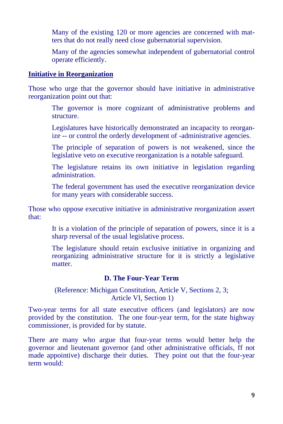- Many of the existing 120 or more agencies are concerned with matters that do not really need close gubernatorial supervision.
- Many of the agencies somewhat independent of gubernatorial control operate efficiently.

#### **Initiative in Reorganization**

Those who urge that the governor should have initiative in administrative reorganization point out that:

- The governor is more cognizant of administrative problems and structure.
- Legislatures have historically demonstrated an incapacity to reorganize -- or control the orderly development of -administrative agencies.
- The principle of separation of powers is not weakened, since the legislative veto on executive reorganization is a notable safeguard.
- The legislature retains its own initiative in legislation regarding administration.
- The federal government has used the executive reorganization device for many years with considerable success.

Those who oppose executive initiative in administrative reorganization assert that:

- It is a violation of the principle of separation of powers, since it is a sharp reversal of the usual legislative process.
- The legislature should retain exclusive initiative in organizing and reorganizing administrative structure for it is strictly a legislative **matter**

#### **D. The Four-Year Term**

#### (Reference: Michigan Constitution, Article V, Sections 2, 3; Article VI, Section 1)

Two-year terms for all state executive officers (and legislators) are now provided by the constitution. The one four-year term, for the state highway commissioner, is provided for by statute.

There are many who argue that four-year terms would better help the governor and lieutenant governor (and other administrative officials, ff not made appointive) discharge their duties. They point out that the four-year term would: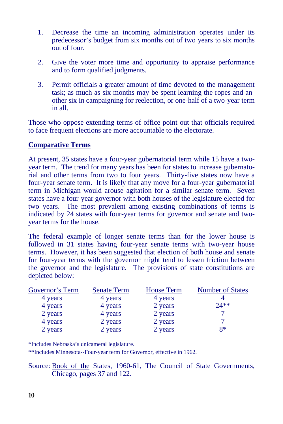- 1. Decrease the time an incoming administration operates under its predecessor's budget from six months out of two years to six months out of four.
- 2. Give the voter more time and opportunity to appraise performance and to form qualified judgments.
- 3. Permit officials a greater amount of time devoted to the management task; as much as six months may be spent learning the ropes and another six in campaigning for reelection, or one-half of a two-year term in all.

Those who oppose extending terms of office point out that officials required to face frequent elections are more accountable to the electorate.

#### **Comparative Terms**

At present, 35 states have a four-year gubernatorial term while 15 have a twoyear term. The trend for many years has been for states to increase gubernatorial and other terms from two to four years. Thirty-five states now have a four-year senate term. It is likely that any move for a four-year gubernatorial term in Michigan would arouse agitation for a similar senate term. Seven states have a four-year governor with both houses of the legislature elected for two years. The most prevalent among existing combinations of terms is indicated by 24 states with four-year terms for governor and senate and twoyear terms for the house.

The federal example of longer senate terms than for the lower house is followed in 31 states having four-year senate terms with two-year house terms. However, it has been suggested that election of both house and senate for four-year terms with the governor might tend to lessen friction between the governor and the legislature. The provisions of state constitutions are depicted below:

| Governor's Term | <b>Senate Term</b> | <b>House Term</b> | <b>Number of States</b> |
|-----------------|--------------------|-------------------|-------------------------|
| 4 years         | 4 years            | 4 years           |                         |
| 4 years         | 4 years            | 2 years           | $74**$                  |
| 2 years         | 4 years            | 2 years           |                         |
| 4 years         | 2 years            | 2 years           |                         |
| 2 years         | 2 years            | 2 years           | $R*$                    |

\*Includes Nebraska's unicameral legislature.

\*\*Includes Minnesota--Four-year term for Governor, effective in 1962.

Source: Book of the States, 1960-61, The Council of State Governments, Chicago, pages 37 and 122.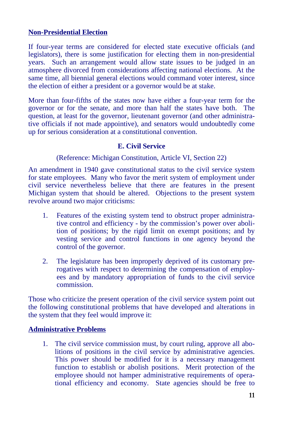#### **Non-Presidential Election**

If four-year terms are considered for elected state executive officials (and legislators), there is some justification for electing them in non-presidential years. Such an arrangement would allow state issues to be judged in an atmosphere divorced from considerations affecting national elections. At the same time, all biennial general elections would command voter interest, since the election of either a president or a governor would be at stake.

More than four-fifths of the states now have either a four-year term for the governor or for the senate, and more than half the states have both. The question, at least for the governor, lieutenant governor (and other administrative officials if not made appointive), and senators would undoubtedly come up for serious consideration at a constitutional convention.

#### **E. Civil Service**

(Reference: Michigan Constitution, Article VI, Section 22)

An amendment in 1940 gave constitutional status to the civil service system for state employees. Many who favor the merit system of employment under civil service nevertheless believe that there are features in the present Michigan system that should be altered. Objections to the present system revolve around two major criticisms:

- 1. Features of the existing system tend to obstruct proper administrative control and efficiency - by the commission's power over abolition of positions; by the rigid limit on exempt positions; and by vesting service and control functions in one agency beyond the control of the governor.
- 2. The legislature has been improperly deprived of its customary prerogatives with respect to determining the compensation of employees and by mandatory appropriation of funds to the civil service commission.

Those who criticize the present operation of the civil service system point out the following constitutional problems that have developed and alterations in the system that they feel would improve it:

#### **Administrative Problems**

1. The civil service commission must, by court ruling, approve all abolitions of positions in the civil service by administrative agencies. This power should be modified for it is a necessary management function to establish or abolish positions. Merit protection of the employee should not hamper administrative requirements of operational efficiency and economy. State agencies should be free to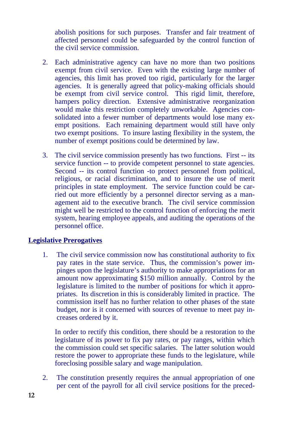abolish positions for such purposes. Transfer and fair treatment of affected personnel could be safeguarded by the control function of the civil service commission.

- 2. Each administrative agency can have no more than two positions exempt from civil service. Even with the existing large number of agencies, this limit has proved too rigid, particularly for the larger agencies. It is generally agreed that policy-making officials should be exempt from civil service control. This rigid limit, therefore, hampers policy direction. Extensive administrative reorganization would make this restriction completely unworkable. Agencies consolidated into a fewer number of departments would lose many exempt positions. Each remaining department would still have only two exempt positions. To insure lasting flexibility in the system, the number of exempt positions could be determined by law.
- 3. The civil service commission presently has two functions. First -- its service function -- to provide competent personnel to state agencies. Second -- its control function -to protect personnel from political, religious, or racial discrimination, and to insure the use of merit principles in state employment. The service function could be carried out more efficiently by a personnel director serving as a management aid to the executive branch. The civil service commission might well be restricted to the control function of enforcing the merit system, hearing employee appeals, and auditing the operations of the personnel office.

#### **Legislative Prerogatives**

1. The civil service commission now has constitutional authority to fix pay rates in the state service. Thus, the commission's power impinges upon the legislature's authority to make appropriations for an amount now approximating \$150 million annually. Control by the legislature is limited to the number of positions for which it appropriates. Its discretion in this is considerably limited in practice. The commission itself has no further relation to other phases of the state budget, nor is it concerned with sources of revenue to meet pay increases ordered by it.

In order to rectify this condition, there should be a restoration to the legislature of its power to fix pay rates, or pay ranges, within which the commission could set specific salaries. The latter solution would restore the power to appropriate these funds to the legislature, while foreclosing possible salary and wage manipulation.

2. The constitution presently requires the annual appropriation of one per cent of the payroll for all civil service positions for the preced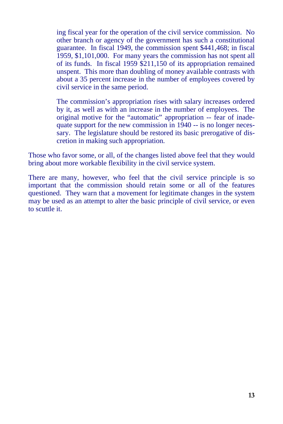ing fiscal year for the operation of the civil service commission. No other branch or agency of the government has such a constitutional guarantee. In fiscal 1949, the commission spent \$441,468; in fiscal 1959, \$1,101,000. For many years the commission has not spent all of its funds. In fiscal 1959 \$211,150 of its appropriation remained unspent. This more than doubling of money available contrasts with about a 35 percent increase in the number of employees covered by civil service in the same period.

The commission's appropriation rises with salary increases ordered by it, as well as with an increase in the number of employees. The original motive for the "automatic" appropriation -- fear of inadequate support for the new commission in 1940 -- is no longer necessary. The legislature should be restored its basic prerogative of discretion in making such appropriation.

Those who favor some, or all, of the changes listed above feel that they would bring about more workable flexibility in the civil service system.

There are many, however, who feel that the civil service principle is so important that the commission should retain some or all of the features questioned. They warn that a movement for legitimate changes in the system may be used as an attempt to alter the basic principle of civil service, or even to scuttle it.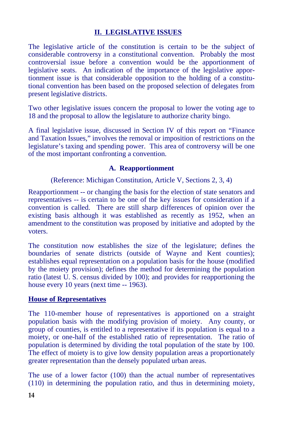#### **II. LEGISLATIVE ISSUES**

The legislative article of the constitution is certain to be the subject of considerable controversy in a constitutional convention. Probably the most controversial issue before a convention would be the apportionment of legislative seats. An indication of the importance of the legislative apportionment issue is that considerable opposition to the holding of a constitutional convention has been based on the proposed selection of delegates from present legislative districts.

Two other legislative issues concern the proposal to lower the voting age to 18 and the proposal to allow the legislature to authorize charity bingo.

A final legislative issue, discussed in Section IV of this report on "Finance and Taxation Issues," involves the removal or imposition of restrictions on the legislature's taxing and spending power. This area of controversy will be one of the most important confronting a convention.

#### **A. Reapportionment**

(Reference: Michigan Constitution, Article V, Sections 2, 3, 4)

Reapportionment -- or changing the basis for the election of state senators and representatives -- is certain to be one of the key issues for consideration if a convention is called. There are still sharp differences of opinion over the existing basis although it was established as recently as 1952, when an amendment to the constitution was proposed by initiative and adopted by the voters.

The constitution now establishes the size of the legislature; defines the boundaries of senate districts (outside of Wayne and Kent counties); establishes equal representation on a population basis for the house (modified by the moiety provision); defines the method for determining the population ratio (latest U. S. census divided by 100); and provides for reapportioning the house every 10 years (next time -- 1963).

#### **House of Representatives**

The 110-member house of representatives is apportioned on a straight population basis with the modifying provision of moiety. Any county, or group of counties, is entitled to a representative if its population is equal to a moiety, or one-half of the established ratio of representation. The ratio of population is determined by dividing the total population of the state by 100. The effect of moiety is to give low density population areas a proportionately greater representation than the densely populated urban areas.

The use of a lower factor (100) than the actual number of representatives (110) in determining the population ratio, and thus in determining moiety,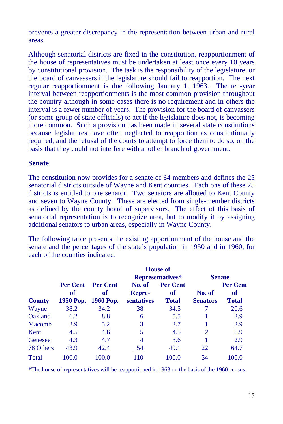prevents a greater discrepancy in the representation between urban and rural areas.

Although senatorial districts are fixed in the constitution, reapportionment of the house of representatives must be undertaken at least once every 10 years by constitutional provision. The task is the responsibility of the legislature, or the board of canvassers if the legislature should fail to reapportion. The next regular reapportionment is due following January 1, 1963. The ten-year interval between reapportionments is the most common provision throughout the country although in some cases there is no requirement and in others the interval is a fewer number of years. The provision for the board of canvassers (or some group of state officials) to act if the legislature does not, is becoming more common. Such a provision has been made in several state constitutions because legislatures have often neglected to reapportion as constitutionally required, and the refusal of the courts to attempt to force them to do so, on the basis that they could not interfere with another branch of government.

#### **Senate**

The constitution now provides for a senate of 34 members and defines the 25 senatorial districts outside of Wayne and Kent counties. Each one of these 25 districts is entitled to one senator. Two senators are allotted to Kent County and seven to Wayne County. These are elected from single-member districts as defined by the county board of supervisors. The effect of this basis of senatorial representation is to recognize area, but to modify it by assigning additional senators to urban areas, especially in Wayne County.

The following table presents the existing apportionment of the house and the senate and the percentages of the state's population in 1950 and in 1960, for each of the counties indicated.

|               |                 | <b>House of</b> |                  |                 |                             |                 |
|---------------|-----------------|-----------------|------------------|-----------------|-----------------------------|-----------------|
|               |                 |                 | Representatives* |                 | <b>Senate</b>               |                 |
|               | <b>Per Cent</b> | <b>Per Cent</b> | No. of           | <b>Per Cent</b> |                             | <b>Per Cent</b> |
|               | оf              | of              | <b>Repre-</b>    | оf              | No. of                      | оf              |
| <b>County</b> | 1950 Pop.       | 1960 Pop.       | sentatives       | <b>Total</b>    | <b>Senators</b>             | Total           |
| Wayne         | 38.2            | 34.2            | 38               | 34.5            |                             | 20.6            |
| Oakland       | 6.2             | 8.8             | 6                | 5.5             |                             | 2.9             |
| Macomb        | 2.9             | 5.2             | 3                | 2.7             |                             | 2.9             |
| Kent          | 4.5             | 4.6             | 5                | 4.5             | $\mathcal{D}_{\mathcal{L}}$ | 5.9             |
| Genesee       | 4.3             | 4.7             | 4                | 3.6             |                             | 2.9             |
| 78 Others     | 43.9            | 42.4            | 54               | 49.1            | 22                          | 64.7            |
| Total         | 100.0           | 100.0           | 110              | 100.0           | 34                          | 100.0           |

\*The house of representatives will be reapportioned in 1963 on the basis of the 1960 census.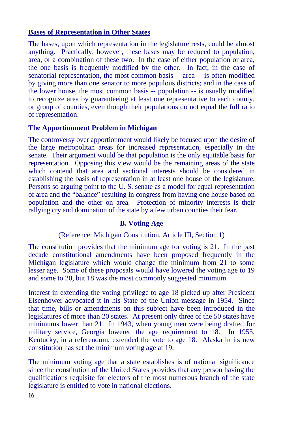#### **Bases of Representation in Other States**

The bases, upon which representation in the legislature rests, could be almost anything. Practically, however, these bases may be reduced to population, area, or a combination of these two. In the case of either population or area, the one basis is frequently modified by the other. In fact, in the case of senatorial representation, the most common basis -- area -- is often modified by giving more than one senator to more populous districts; and in the case of the lower house, the most common basis -- population -- is usually modified to recognize area by guaranteeing at least one representative to each county, or group of counties, even though their populations do not equal the full ratio of representation.

#### **The Apportionment Problem in Michigan**

The controversy over apportionment would likely be focused upon the desire of the large metropolitan areas for increased representation, especially in the senate. Their argument would be that population is the only equitable basis for representation. Opposing this view would be the remaining areas of the state which contend that area and sectional interests should be considered in establishing the basis of representation in at least one house of the legislature. Persons so arguing point to the U. S. senate as a model for equal representation of area and the "balance" resulting in congress from having one house based on population and the other on area. Protection of minority interests is their rallying cry and domination of the state by a few urban counties their fear.

#### **B. Voting Age**

#### (Reference: Michigan Constitution, Article III, Section 1)

The constitution provides that the minimum age for voting is 21. In the past decade constitutional amendments have been proposed frequently in the Michigan legislature which would change the minimum from 21 to some lesser age. Some of these proposals would have lowered the voting age to 19 and some to 20, but 18 was the most commonly suggested minimum.

Interest in extending the voting privilege to age 18 picked up after President Eisenhower advocated it in his State of the Union message in 1954. Since that time, bills or amendments on this subject have been introduced in the legislatures of more than 20 states. At present only three of the 50 states have minimums lower than 21. In 1943, when young men were being drafted for military service, Georgia lowered the age requirement to 18. In 1955, Kentucky, in a referendum, extended the vote to age 18. Alaska in its new constitution has set the minimum voting age at 19.

The minimum voting age that a state establishes is of national significance since the constitution of the United States provides that any person having the qualifications requisite for electors of the most numerous branch of the state legislature is entitled to vote in national elections.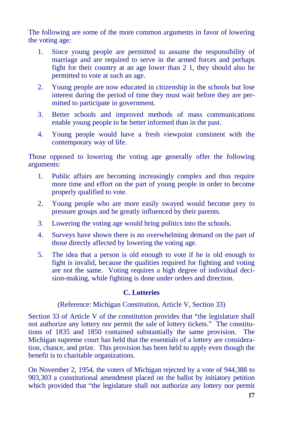The following are some of the more common arguments in favor of lowering the voting age:

- 1. Since young people are permitted to assume the responsibility of marriage and are required to serve in the armed forces and perhaps fight for their country at an age lower than 2 1, they should also be permitted to vote at such an age.
- 2. Young people are now educated in citizenship in the schools but lose interest during the period of time they must wait before they are permitted to participate in government.
- 3. Better schools and improved methods of mass communications enable young people to be better informed than in the past.
- 4. Young people would have a fresh viewpoint consistent with the contemporary way of life.

Those opposed to lowering the voting age generally offer the following arguments:

- 1. Public affairs are becoming increasingly complex and thus require more time and effort on the part of young people in order to become properly qualified to vote.
- 2. Young people who are more easily swayed would become prey to pressure groups and be greatly influenced by their parents.
- 3. Lowering the voting age would bring politics into the schools.
- 4. Surveys have shown there is no overwhelming demand on the part of those directly affected by lowering the voting age.
- 5. The idea that a person is old enough to vote if he is old enough to fight is invalid, because the qualities required for fighting and voting are not the same. Voting requires a high degree of individual decision-making, while fighting is done under orders and direction.

#### **C. Lotteries**

(Reference: Michigan Constitution, Article V, Section 33)

Section 33 of Article V of the constitution provides that "the legislature shall not authorize any lottery nor permit the sale of lottery tickets." The constitutions of 1835 and 1850 contained substantially the same provision. The Michigan supreme court has held that the essentials of a lottery are consideration, chance, and prize. This provision has been held to apply even though the benefit is to charitable organizations.

On November 2, 1954, the voters of Michigan rejected by a vote of 944,388 to 903,303 a constitutional amendment placed on the ballot by initiatory petition which provided that "the legislature shall not authorize any lottery nor permit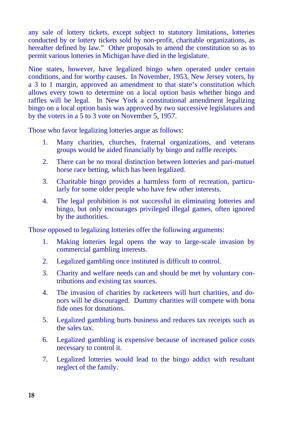any sale of lottery tickets, except subject to statutory limitations, lotteries conducted by or lottery tickets sold by non-profit, charitable organizations, as hereafter defined by law." Other proposals to amend the constitution so as to permit various lotteries in Michigan have died in the legislature.

Nine states, however, have legalized bingo when operated under certain conditions, and for worthy causes. In November, 1953, New Jersey voters, by a 3 to 1 margin, approved an amendment to that state's constitution which allows every town to determine on a local option basis whether bingo and raffles will be legal. In New York a constitutional amendment legalizing bingo on a local option basis was approved by two successive legislatures and by the voters in a 5 to 3 vote on November 5, 1957.

Those who favor legalizing lotteries argue as follows:

- 1. Many charities, churches, fraternal organizations, and veterans groups would be aided financially by bingo and raffle receipts.
- 2. There can be no moral distinction between lotteries and pari-mutuel horse race betting, which has been legalized.
- 3. Charitable bingo provides a harmless form of recreation, particularly for some older people who have few other interests.
- 4. The legal prohibition is not successful in eliminating lotteries and bingo, but only encourages privileged illegal games, often ignored by the authorities.

Those opposed to legalizing lotteries offer the following arguments:

- 1. Making lotteries legal opens the way to large-scale invasion by commercial gambling interests.
- 2. Legalized gambling once instituted is difficult to control.
- 3. Charity and welfare needs can and should be met by voluntary contributions and existing tax sources.
- 4. The invasion of charities by racketeers will hurt charities, and donors will be discouraged. Dummy charities will compete with bona fide ones for donations.
- 5. Legalized gambling hurts business and reduces tax receipts such as the sales tax.
- 6. Legalized gambling is expensive because of increased police costs necessary to control it.
- 7. Legalized lotteries would lead to the bingo addict with resultant neglect of the family.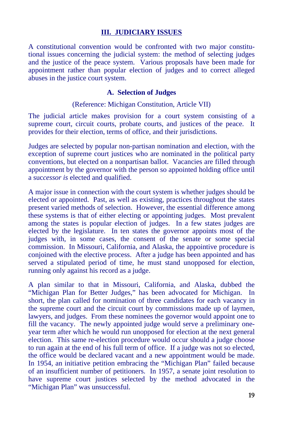#### **III. JUDICIARY ISSUES**

A constitutional convention would be confronted with two major constitutional issues concerning the judicial system: the method of selecting judges and the justice of the peace system. Various proposals have been made for appointment rather than popular election of judges and to correct alleged abuses in the justice court system.

#### **A. Selection of Judges**

(Reference: Michigan Constitution, Article VII)

The judicial article makes provision for a court system consisting of a supreme court, circuit courts, probate courts, and justices of the peace. It provides for their election, terms of office, and their jurisdictions.

Judges are selected by popular non-partisan nomination and election, with the exception of supreme court justices who are nominated in the political party conventions, but elected on a nonpartisan ballot. Vacancies are filled through appointment by the governor with the person so appointed holding office until a suc*cessor is* elected and qualified.

A major issue in connection with the court system is whether judges should be elected or appointed. Past, as well as existing, practices throughout the states present varied methods of selection. However, the essential difference among these systems is that of either electing or appointing judges. Most prevalent among the states is popular election of judges. In a few states judges are elected by the legislature. In ten states the governor appoints most of the judges with, in some cases, the consent of the senate or some special commission. In Missouri, California, and Alaska, the appointive procedure is conjoined with the elective process. After a judge has been appointed and has served a stipulated period of time, he must stand unopposed for election, running only against his record as a judge.

A plan similar to that in Missouri, California, and Alaska, dubbed the "Michigan Plan for Better Judges," has been advocated for Michigan. In short, the plan called for nomination of three candidates for each vacancy in the supreme court and the circuit court by commissions made up of laymen, lawyers, and judges. From these nominees the governor would appoint one to fill the vacancy. The newly appointed judge would serve a preliminary oneyear term after which he would run unopposed for election at the next general election. This same re-election procedure would occur should a judge choose to run again at the end of his full term of office. If a judge was not so elected, the office would be declared vacant and a new appointment would be made. In 1954, an initiative petition embracing the "Michigan Plan" failed because of an insufficient number of petitioners. In 1957, a senate joint resolution to have supreme court justices selected by the method advocated in the "Michigan Plan" was unsuccessful.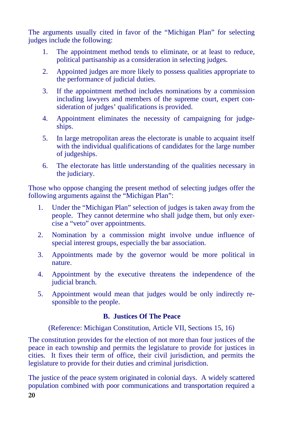The arguments usually cited in favor of the "Michigan Plan" for selecting judges include the following:

- 1. The appointment method tends to eliminate, or at least to reduce, political partisanship as a consideration in selecting judges.
- 2. Appointed judges are more likely to possess qualities appropriate to the performance of judicial duties.
- 3. If the appointment method includes nominations by a commission including lawyers and members of the supreme court, expert consideration of judges' qualifications is provided.
- 4. Appointment eliminates the necessity of campaigning for judgeships.
- 5. In large metropolitan areas the electorate is unable to acquaint itself with the individual qualifications of candidates for the large number of judgeships.
- 6. The electorate has little understanding of the qualities necessary in the judiciary.

Those who oppose changing the present method of selecting judges offer the following arguments against the "Michigan Plan":

- 1. Under the "Michigan Plan" selection of judges is taken away from the people. They cannot determine who shall judge them, but only exercise a "veto" over appointments.
- 2. Nomination by a commission might involve undue influence of special interest groups, especially the bar association.
- 3. Appointments made by the governor would be more political in nature.
- 4. Appointment by the executive threatens the independence of the judicial branch.
- 5. Appointment would mean that judges would be only indirectly responsible to the people.

#### **B. Justices Of The Peace**

(Reference: Michigan Constitution, Article VII, Sections 15, 16)

The constitution provides for the election of not more than four justices of the peace in each township and permits the legislature to provide for justices in cities. It fixes their term of office, their civil jurisdiction, and permits the legislature to provide for their duties and criminal jurisdiction.

20 The justice of the peace system originated in colonial days. A widely scattered population combined with poor communications and transportation required a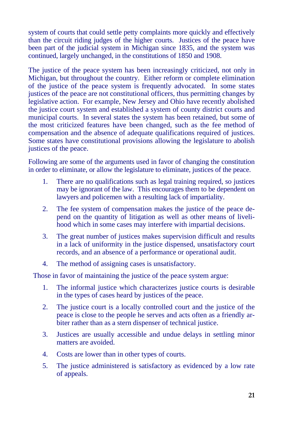system of courts that could settle petty complaints more quickly and effectively than the circuit riding judges of the higher courts. Justices of the peace have been part of the judicial system in Michigan since 1835, and the system was continued, largely unchanged, in the constitutions of 1850 and 1908.

The justice of the peace system has been increasingly criticized, not only in Michigan, but throughout the country. Either reform or complete elimination of the justice of the peace system is frequently advocated. In some states justices of the peace are not constitutional officers, thus permitting changes by legislative action. For example, New Jersey and Ohio have recently abolished the justice court system and established a system of county district courts and municipal courts. In several states the system has been retained, but some of the most criticized features have been changed, such as the fee method of compensation and the absence of adequate qualifications required of justices. Some states have constitutional provisions allowing the legislature to abolish justices of the peace.

Following are some of the arguments used in favor of changing the constitution in order to eliminate, or allow the legislature to eliminate, justices of the peace.

- 1. There are no qualifications such as legal training required, so justices may be ignorant of the law. This encourages them to be dependent on lawyers and policemen with a resulting lack of impartiality.
- 2. The fee system of compensation makes the justice of the peace depend on the quantity of litigation as well as other means of livelihood which in some cases may interfere with impartial decisions.
- 3. The great number of justices makes supervision difficult and results in a lack of uniformity in the justice dispensed, unsatisfactory court records, and an absence of a performance or operational audit.
- 4. The method of assigning cases is unsatisfactory.

Those in favor of maintaining the justice of the peace system argue:

- 1. The informal justice which characterizes justice courts is desirable in the types of cases heard by justices of the peace.
- 2. The justice court is a locally controlled court and the justice of the peace is close to the people he serves and acts often as a friendly arbiter rather than as a stern dispenser of technical justice.
- 3. Justices are usually accessible and undue delays in settling minor matters are avoided.
- 4. Costs are lower than in other types of courts.
- 5. The justice administered is satisfactory as evidenced by a low rate of appeals.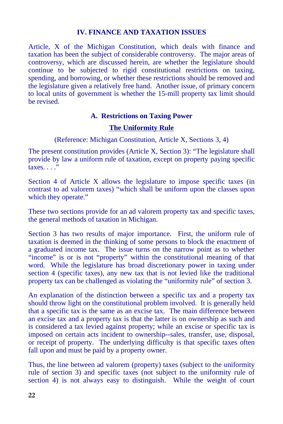#### **IV. FINANCE AND TAXATION ISSUES**

Article, X of the Michigan Constitution, which deals with finance and taxation has been the subject of considerable controversy. The major areas of controversy, which are discussed herein, are whether the legislature should continue to be subjected to rigid constitutional restrictions on taxing, spending, and borrowing, or whether these restrictions should be removed and the legislature given a relatively free hand. Another issue, of primary concern to local units of government is whether the 15-mill property tax limit should be revised.

#### **A. Restrictions on Taxing Power**

#### **The Uniformity Rule**

(Reference: Michigan Constitution, Article X, Sections 3, 4)

The present constitution provides (Article X, Section 3): "The legislature shall provide by law a uniform rule of taxation, except on property paying specific  $taxes.$ ..."

Section 4 of Article X allows the legislature to impose specific taxes (in contrast to ad valorem taxes) "which shall be uniform upon the classes upon which they operate."

These two sections provide for an ad valorem property tax and specific taxes, the general methods of taxation in Michigan.

Section 3 has two results of major importance. First, the uniform rule of taxation is deemed in the thinking of some persons to block the enactment of a graduated income tax. The issue turns on the narrow point as to whether "income" is or is not "property" within the constitutional meaning of that word. While the legislature has broad discretionary power in taxing under section 4 (specific taxes), any new tax that is not levied like the traditional property tax can be challenged as violating the "uniformity rule" of section 3.

An explanation of the distinction between a specific tax and a property tax should throw light on the constitutional problem involved. It is generally held that a specific tax is the same as an excise tax. The main difference between an excise tax and a property tax is that the latter is on ownership as such and is considered a tax levied against property; while an excise or specific tax is imposed on certain acts incident to ownership--sales, transfer, use, disposal, or receipt of property. The underlying difficulty is that specific taxes often fall upon and must be paid by a property owner.

Thus, the line between ad valorem (property) taxes (subject to the uniformity rule of section 3) and specific taxes (not subject to the uniformity rule of section 4) is not always easy to distinguish. While the weight of court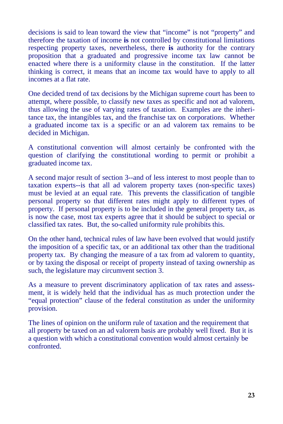therefore the taxation of income **is** not controlled by constitutional limitations respecting property taxes, nevertheless, there **is** authority for the contrary proposition that a graduated and progressive income tax law cannot be enacted where there is a uniformity clause in the constitution. If the latter thinking is correct, it means that an income tax would have to apply to all incomes at a flat rate.

One decided trend of tax decisions by the Michigan supreme court has been to attempt, where possible, to classify new taxes as specific and not ad valorem, thus allowing the use of varying rates of taxation. Examples are the inheritance tax, the intangibles tax, and the franchise tax on corporations. Whether a graduated income tax is a specific or an ad valorem tax remains to be decided in Michigan.

A constitutional convention will almost certainly be confronted with the question of clarifying the constitutional wording to permit or prohibit a graduated income tax.

decisions is said to lean toward the view that "income" is not "property" and<br>offerior-difference in the view that "income" is not controlled by constitutional limitations<br>respecting property taxes, nevertheless, there is A second major result of section 3--and of less interest to most people than to taxation experts--is that all ad valorem property taxes (non-specific taxes) must be levied at an equal rate. This prevents the classification of tangible personal property so that different rates might apply to different types of property. If personal property is to be included in the general property tax, as is now the case, most tax experts agree that it should be subject to special or classified tax rates. But, the so-called uniformity rule prohibits this.

On the other hand, technical rules of law have been evolved that would justify the imposition of a specific tax, or an additional tax other than the traditional property tax. By changing the measure of a tax from ad valorem to quantity, or by taxing the disposal or receipt of property instead of taxing ownership as such, the legislature may circumvent section 3.

As a measure to prevent discriminatory application of tax rates and assessment, it is widely held that the individual has as much protection under the "equal protection" clause of the federal constitution as under the uniformity provision.

The lines of opinion on the uniform rule of taxation and the requirement that all property be taxed on an ad valorem basis are probably well fixed. But it is a question with which a constitutional convention would almost certainly be confronted.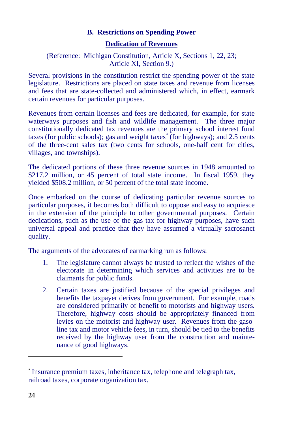#### **B. Restrictions on Spending Power**

#### **Dedication of Revenues**

#### (Reference: Michigan Constitution, Article X**,** Sections 1, 22, 23; Article XI, Section 9.)

Several provisions in the constitution restrict the spending power of the state legislature. Restrictions are placed on state taxes and revenue from licenses and fees that are state-collected and administered which, in effect, earmark certain revenues for particular purposes.

Revenues from certain licenses and fees are dedicated, for example, for state waterways purposes and fish and wildlife management. The three major constitutionally dedicated tax revenues are the primary school interest fund taxes (for public schools); gas and weight taxes<sup>\*</sup> (for highways); and 2.5 cents of the three-cent sales tax (two cents for schools, one-half cent for cities, villages, and townships).

The dedicated portions of these three revenue sources in 1948 amounted to \$217.2 million, or 45 percent of total state income. In fiscal 1959, they yielded \$508.2 million, or 50 percent of the total state income.

Once embarked on the course of dedicating particular revenue sources to particular purposes, it becomes both difficult to oppose and easy to acquiesce in the extension of the principle to other governmental purposes. Certain dedications, such as the use of the gas tax for highway purposes, have such universal appeal and practice that they have assumed a virtually sacrosanct quality.

The arguments of the advocates of earmarking run as follows:

- 1. The legislature cannot always be trusted to reflect the wishes of the electorate in determining which services and activities are to be claimants for public funds.
- 2. Certain taxes are justified because of the special privileges and benefits the taxpayer derives from government. For example, roads are considered primarily of benefit to motorists and highway users. Therefore, highway costs should be appropriately financed from levies on the motorist and highway user. Revenues from the gasoline tax and motor vehicle fees, in turn, should be tied to the benefits received by the highway user from the construction and maintenance of good highways.

 $\overline{a}$ 

<sup>\*</sup> Insurance premium taxes, inheritance tax, telephone and telegraph tax, railroad taxes, corporate organization tax.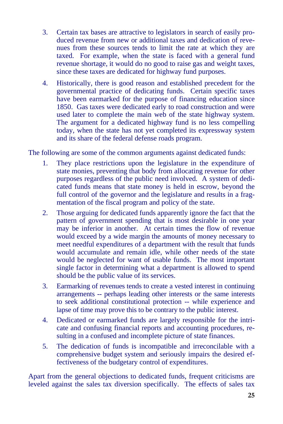- 3. Certain tax bases are attractive to legislators in search of easily produced revenue from new or additional taxes and dedication of revenues from these sources tends to limit the rate at which they are taxed. For example, when the state is faced with a general fund revenue shortage, it would do no good to raise gas and weight taxes, since these taxes are dedicated for highway fund purposes.
- 4. Historically, there is good reason and established precedent for the governmental practice of dedicating funds. Certain specific taxes have been earmarked for the purpose of financing education since 1850. Gas taxes were dedicated early to road construction and were used later to complete the main web of the state highway system. The argument for a dedicated highway fund is no less compelling today, when the state has not yet completed its expressway system and its share of the federal defense roads program.

The following are some of the common arguments against dedicated funds:

- 1. They place restrictions upon the legislature in the expenditure of state monies, preventing that body from allocating revenue for other purposes regardless of the public need involved. A system of dedicated funds means that state money is held in escrow, beyond the full control of the governor and the legislature and results in a fragmentation of the fiscal program and policy of the state.
- 2. Those arguing for dedicated funds apparently ignore the fact that the pattern of government spending that is most desirable in one year may be inferior in another. At certain times the flow of revenue would exceed by a wide margin the amounts of money necessary to meet needful expenditures of a department with the result that funds would accumulate and remain idle, while other needs of the state would be neglected for want of usable funds. The most important single factor in determining what a department is allowed to spend should be the public value of its services.
- 3. Earmarking of revenues tends to create a vested interest in continuing arrangements -- perhaps leading other interests or the same interests to seek additional constitutional protection -- while experience and lapse of time may prove this to be contrary to the public interest.
- 4. Dedicated or earmarked funds are largely responsible for the intricate and confusing financial reports and accounting procedures, resulting in a confused and incomplete picture of state finances.
- 5. The dedication of funds is incompatible and irreconcilable with a comprehensive budget system and seriously impairs the desired effectiveness of the budgetary control of expenditures.

Apart from the general objections to dedicated funds, frequent criticisms are leveled against the sales tax diversion specifically. The effects of sales tax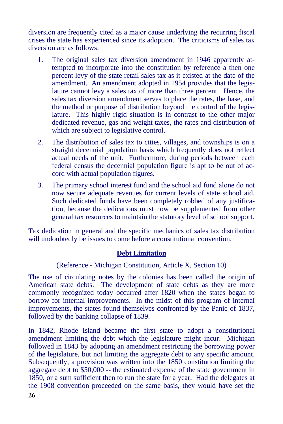diversion are frequently cited as a major cause underlying the recurring fiscal crises the state has experienced since its adoption. The criticisms of sales tax diversion are as follows:

- 1. The original sales tax diversion amendment in 1946 apparently attempted to incorporate into the constitution by reference a then one percent levy of the state retail sales tax as it existed at the date of the amendment. An amendment adopted in 1954 provides that the legislature cannot levy a sales tax of more than three percent. Hence, the sales tax diversion amendment serves to place the rates, the base, and the method or purpose of distribution beyond the control of the legislature. This highly rigid situation is in contrast to the other major dedicated revenue, gas and weight taxes, the rates and distribution of which are subject to legislative control.
- 2. The distribution of sales tax to cities, villages, and townships is on a straight decennial population basis which frequently does not reflect actual needs of the unit. Furthermore, during periods between each federal census the decennial population figure is apt to be out of accord with actual population figures.
- 3. The primary school interest fund and the school aid fund alone do not now secure adequate revenues for current levels of state school aid. Such dedicated funds have been completely robbed of any justification, because the dedications must now be supplemented from other general tax resources to maintain the statutory level of school support.

Tax dedication in general and the specific mechanics of sales tax distribution will undoubtedly be issues to come before a constitutional convention.

#### **Debt Limitation**

#### (Reference - Michigan Constitution, Article X, Section 10)

The use of circulating notes by the colonies has been called the origin of American state debts. The development of state debts as they are more commonly recognized today occurred after 1820 when the states began to borrow for internal improvements. In the midst of this program of internal improvements, the states found themselves confronted by the Panic of 1837, followed by the banking collapse of 1839.

In 1842, Rhode Island became the first state to adopt a constitutional amendment limiting the debt which the legislature might incur. Michigan followed in 1843 by adopting an amendment restricting the borrowing power of the legislature, but not limiting the aggregate debt to any specific amount. Subsequently, a provision was written into the 1850 constitution limiting the aggregate debt to \$50,000 -- the estimated expense of the state government in 1850, or a sum sufficient then to run the state for a year. Had the delegates at the 1908 convention proceeded on the same basis, they would have set the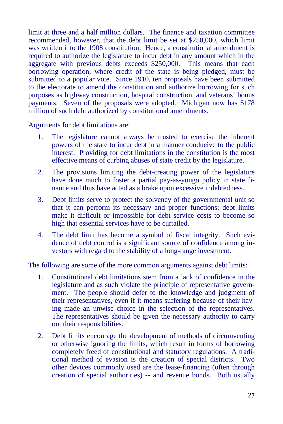limit at three and a half million dollars. The finance and taxation committee recommended, however, that the debt limit be set at \$250,000, which limit was written into the 1908 constitution. Hence, a constitutional amendment is required to authorize the legislature to incur debt in any amount which in the aggregate with previous debts exceeds \$250,000. This means that each borrowing operation, where credit of the state is being pledged, must be submitted to a popular vote. Since 1910, ten proposals have been submitted to the electorate to amend the constitution and authorize borrowing for such purposes as highway construction, hospital construction, and veterans' bonus payments. Seven of the proposals were adopted. Michigan now has \$178 million of such debt authorized by constitutional amendments.

Arguments for debt limitations are:

- 1. The legislature cannot always be trusted to exercise the inherent powers of the state to incur debt in a manner conducive to the public interest. Providing for debt limitations in the constitution is the most effective means of curbing abuses of state credit by the legislature.
- 2. The provisions limiting the debt-creating power of the legislature have done much to foster a partial pay-as-yougo policy in state finance and thus have acted as a brake upon excessive indebtedness.
- 3. Debt limits serve to protect the solvency of the governmental unit so that it can perform its necessary and proper functions; debt limits make it difficult or impossible for debt service costs to become so high that essential services have to be curtailed.
- 4. The debt limit has become a symbol of fiscal integrity. Such evidence of debt control is a significant source of confidence among investors with regard to the stability of a long-range investment.

The following are some of the more common arguments against debt limits:

- 1. Constitutional debt limitations stem from a lack of confidence in the legislature and as such violate the principle of representative government. The people should defer to the knowledge and judgment of their representatives, even if it means suffering because of their having made an unwise choice in the selection of the representatives. The representatives should be given the necessary authority to carry out their responsibilities.
- 2. Debt limits encourage the development of methods of circumventing or otherwise ignoring the limits, which result in forms of borrowing completely freed of constitutional and statutory regulations. A traditional method of evasion is the creation of special districts. Two other devices commonly used are the lease-financing (often through creation of special authorities) -- and revenue bonds. Both usually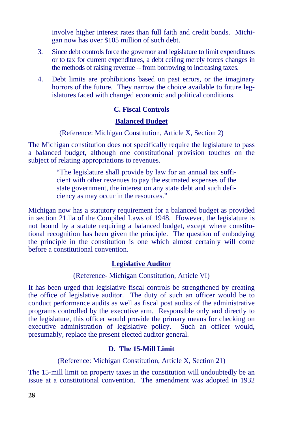involve higher interest rates than full faith and credit bonds. Michigan now has over \$105 million of such debt.

- 3. Since debt controls force the governor and legislature to limit expenditures or to tax for current expenditures, a debt ceiling merely forces changes in the methods of raising revenue -- from borrowing to increasing taxes.
- 4. Debt limits are prohibitions based on past errors, or the imaginary horrors of the future. They narrow the choice available to future legislatures faced with changed economic and political conditions.

### **C. Fiscal Controls**

### **Balanced Budget**

#### (Reference: Michigan Constitution, Article X, Section 2)

The Michigan constitution does not specifically require the legislature to pass a balanced budget, although one constitutional provision touches on the subject of relating appropriations to revenues.

> "The legislature shall provide by law for an annual tax sufficient with other revenues to pay the estimated expenses of the state government, the interest on any state debt and such deficiency as may occur in the resources."

Michigan now has a statutory requirement for a balanced budget as provided in section 21.lla of the Compiled Laws of 1948. However, the legislature is not bound by a statute requiring a balanced budget, except where constitutional recognition has been given the principle. The question of embodying the principle in the constitution is one which almost certainly will come before a constitutional convention.

#### **Legislative Auditor**

#### (Reference- Michigan Constitution, Article VI)

It has been urged that legislative fiscal controls be strengthened by creating the office of legislative auditor. The duty of such an officer would be to conduct performance audits as well as fiscal post audits of the administrative programs controlled by the executive arm. Responsible only and directly to the legislature, this officer would provide the primary means for checking on executive administration of legislative policy. Such an officer would, presumably, replace the present elected auditor general.

#### **D. The 15-Mill Limit**

(Reference: Michigan Constitution, Article X, Section 21)

The 15-mill limit on property taxes in the constitution will undoubtedly be an issue at a constitutional convention. The amendment was adopted in 1932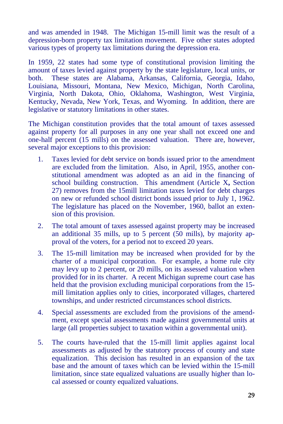and was amended in 1948. The Michigan 15-mill limit was the result of a depression-born property tax limitation movement. Five other states adopted various types of property tax limitations during the depression era.

In 1959, 22 states had some type of constitutional provision limiting the amount of taxes levied against property by the state legislature, local units, or both. These states are Alabama, Arkansas, California, Georgia, Idaho, Louisiana, Missouri, Montana, New Mexico, Michigan, North Carolina, Virginia, North Dakota, Ohio, Oklahoma, Washington, West Virginia, Kentucky, Nevada, New York, Texas, and Wyoming. In addition, there are legislative or statutory limitations in other states.

The Michigan constitution provides that the total amount of taxes assessed against property for all purposes in any one year shall not exceed one and one-half percent (15 mills) on the assessed valuation. There are, however, several major exceptions to this provision:

- 1. Taxes levied for debt service on bonds issued prior to the amendment are excluded from the limitation. Also, in April, 1955, another constitutional amendment was adopted as an aid in the financing of school building construction. This amendment (Article X**,** Section 27) removes from the 15mill limitation taxes levied for debt charges on new or refunded school district bonds issued prior to July 1, 1962. The legislature has placed on the November, 1960, ballot an extension of this provision.
- 2. The total amount of taxes assessed against property may be increased an additional 35 mills, up to 5 percent (50 mills), by majority approval of the voters, for a period not to exceed 20 years.
- 3. The 15-mill limitation may be increased when provided for by the charter of a municipal corporation. For example, a home rule city may levy up to 2 percent, or 20 mills, on its assessed valuation when provided for in its charter. A recent Michigan supreme court case has held that the provision excluding municipal corporations from the 15 mill limitation applies only to cities, incorporated villages, chartered townships, and under restricted circumstances school districts.
- 4. Special assessments are excluded from the provisions of the amendment, except special assessments made against governmental units at large (all properties subject to taxation within a governmental unit).
- 5. The courts have-ruled that the 15-mill limit applies against local assessments as adjusted by the statutory process of county and state equalization. This decision has resulted in an expansion of the tax base and the amount of taxes which can be levied within the 15-mill limitation, since state equalized valuations are usually higher than local assessed or county equalized valuations.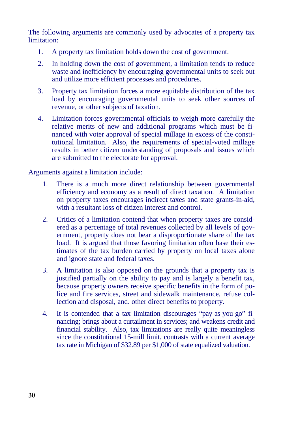The following arguments are commonly used by advocates of a property tax limitation:

- 1. A property tax limitation holds down the cost of government.
- 2. In holding down the cost of government, a limitation tends to reduce waste and inefficiency by encouraging governmental units to seek out and utilize more efficient processes and procedures.
- 3. Property tax limitation forces a more equitable distribution of the tax load by encouraging governmental units to seek other sources of revenue, or other subjects of taxation.
- 4. Limitation forces governmental officials to weigh more carefully the relative merits of new and additional programs which must be financed with voter approval of special millage in excess of the constitutional limitation. Also, the requirements of special-voted millage results in better citizen understanding of proposals and issues which are submitted to the electorate for approval.

Arguments against a limitation include:

- 1. There is a much more direct relationship between governmental efficiency and economy as a result of direct taxation. A limitation on property taxes encourages indirect taxes and state grants-in-aid, with a resultant loss of citizen interest and control.
- 2. Critics of a limitation contend that when property taxes are considered as a percentage of total revenues collected by all levels of government, property does not bear a disproportionate share of the tax load. It is argued that those favoring limitation often base their estimates of the tax burden carried by property on local taxes alone and ignore state and federal taxes.
- 3. A limitation is also opposed on the grounds that a property tax is justified partially on the ability to pay and is largely a benefit tax, because property owners receive specific benefits in the form of police and fire services, street and sidewalk maintenance, refuse collection and disposal, and. other direct benefits to property.
- 4. It is contended that a tax limitation discourages "pay-as-you-go" financing; brings about a curtailment in services; and weakens credit and financial stability. Also, tax limitations are really quite meaningless since the constitutional 15-mill limit. contrasts with a current average tax rate in Michigan of \$32.89 per \$1,000 of state equalized valuation.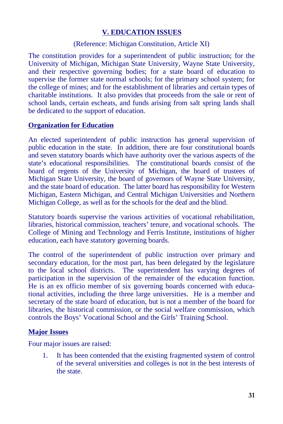#### **V. EDUCATION ISSUES**

#### (Reference: Michigan Constitution, Article XI)

The constitution provides for a superintendent of public instruction; for the University of Michigan, Michigan State University, Wayne State University, and their respective governing bodies; for a state board of education to supervise the former state normal schools; for the primary school system; for the college of mines; and for the establishment of libraries and certain types of charitable institutions. It also provides that proceeds from the sale or rent of school lands, certain escheats, and funds arising from salt spring lands shall be dedicated to the support of education.

#### **Organization for Education**

An elected superintendent of public instruction has general supervision of public education in the state. In addition, there are four constitutional boards and seven statutory boards which have authority over the various aspects of the state's educational responsibilities. The constitutional boards consist of the board of regents of the University of Michigan, the board of trustees of Michigan State University, the board of governors of Wayne State University, and the state board of education. The latter board has responsibility for Western Michigan, Eastern Michigan, and Central Michigan Universities and Northern Michigan College, as well as for the schools for the deaf and the blind.

Statutory boards supervise the various activities of vocational rehabilitation, libraries, historical commission, teachers' tenure, and vocational schools. The College of Mining and Technology and Ferris Institute, institutions of higher education, each have statutory governing boards.

The control of the superintendent of public instruction over primary and secondary education, for the most part, has been delegated by the legislature to the local school districts. The superintendent has varying degrees of participation in the supervision of the remainder of the education function. He is an ex officio member of six governing boards concerned with educational activities, including the three large universities. He is a member and secretary of the state board of education, but is not a member of the board for libraries, the historical commission, or the social welfare commission, which controls the Boys' Vocational School and the Girls' Training School.

#### **Major Issues**

Four major issues are raised:

1. It has been contended that the existing fragmented system of control of the several universities and colleges is not in the best interests of the state.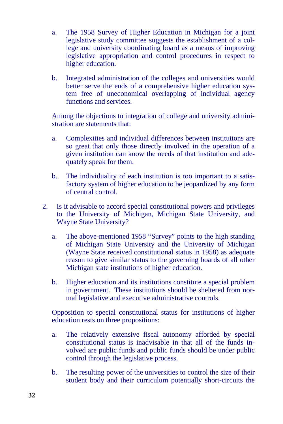- a. The 1958 Survey of Higher Education in Michigan for a joint legislative study committee suggests the establishment of a college and university coordinating board as a means of improving legislative appropriation and control procedures in respect to higher education.
- b. Integrated administration of the colleges and universities would better serve the ends of a comprehensive higher education system free of uneconomical overlapping of individual agency functions and services.

Among the objections to integration of college and university administration are statements that:

- a. Complexities and individual differences between institutions are so great that only those directly involved in the operation of a given institution can know the needs of that institution and adequately speak for them.
- b. The individuality of each institution is too important to a satisfactory system of higher education to be jeopardized by any form of central control.
- 2. Is it advisable to accord special constitutional powers and privileges to the University of Michigan, Michigan State University, and Wayne State University?
	- a. The above-mentioned 1958 "Survey" points to the high standing of Michigan State University and the University of Michigan (Wayne State received constitutional status in 1958) as adequate reason to give similar status to the governing boards of all other Michigan state institutions of higher education.
	- b. Higher education and its institutions constitute a special problem in government. These institutions should be sheltered from normal legislative and executive administrative controls.

Opposition to special constitutional status for institutions of higher education rests on three propositions:

- a. The relatively extensive fiscal autonomy afforded by special constitutional status is inadvisable in that all of the funds involved are public funds and public funds should be under public control through the legislative process.
- b. The resulting power of the universities to control the size of their student body and their curriculum potentially short-circuits the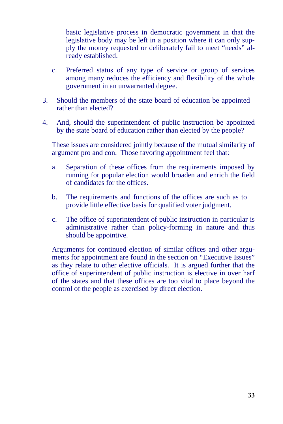legislative body may be left in a position where it can only supply the money requested or deliberately fail to meet "needs" already established.

- c. Preferred status of any type of service or group of services among many reduces the efficiency and flexibility of the whole government in an unwarranted degree.
- 3. Should the members of the state board of education be appointed rather than elected?
- 4. And, should the superintendent of public instruction be appointed by the state board of education rather than elected by the people?

These issues are considered jointly because of the mutual similarity of argument pro and con. Those favoring appointment feel that:

- a. Separation of these offices from the requirements imposed by running for popular election would broaden and enrich the field of candidates for the offices.
- b. The requirements and functions of the offices are such as to provide little effective basis for qualified voter judgment.
- c. The office of superintendent of public instruction in particular is administrative rather than policy-forming in nature and thus should be appointive.

basic legislative process in democratic government in that the<br>begislative body may be left in a position where it can only sup-<br>ply the money requested or deliberately fail to meet "needs" al-<br>ready established.<br>Therefore Arguments for continued election of similar offices and other arguments for appointment are found in the section on "Executive Issues" as they relate to other elective officials. It is argued further that the office of superintendent of public instruction is elective in over harf of the states and that these offices are too vital to place beyond the control of the people as exercised by direct election.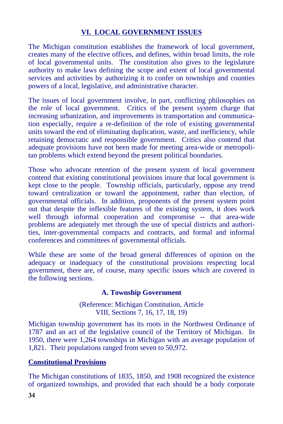### **VI. LOCAL GOVERNMENT ISSUES**

The Michigan constitution establishes the framework of local government, creates many of the elective offices, and defines, within broad limits, the role of local governmental units. The constitution also gives to the legislature authority to make laws defining the scope and extent of local governmental services and activities by authorizing it to confer on townships and counties powers of a local, legislative, and administrative character.

The issues of local government involve, in part, conflicting philosophies on the role of local government. Critics of the present system charge that increasing urbanization, and improvements in transportation and communication especially, require a re-definition of the role of existing governmental units toward the end of eliminating duplication, waste, and inefficiency, while retaining democratic and responsible government. Critics also contend that adequate provisions have not been made for meeting area-wide or metropolitan problems which extend beyond the present political boundaries.

Those who advocate retention of the present system of local government contend that existing constitutional provisions insure that local government is kept close to the people. Township officials, particularly, oppose any trend toward centralization or toward the appointment, rather than election, of governmental officials. In addition, proponents of the present system point out that despite the inflexible features of the existing system, it does work well through informal cooperation and compromise -- that area-wide problems are adequately met through the use of special districts and authorities, inter-governmental compacts and contracts, and formal and informal conferences and committees of governmental officials.

While these are some of the broad general differences of opinion on the adequacy or inadequacy of the constitutional provisions respecting local government, there are, of course, many specific issues which are covered in the following sections.

#### **A. Township Government**

(Reference: Michigan Constitution, Article VIII, Sections 7, 16, 17, 18, 19)

Michigan township government has its roots in the Northwest Ordinance of 1787 and an act of the legislative council of the Territory of Michigan. In 1950, there were 1,264 townships in Michigan with an average population of 1,821. Their populations ranged from seven to 50,972.

#### **Constitutional Provisions**

The Michigan constitutions of 1835, 1850, and 1908 recognized the existence of organized townships, and provided that each should be a body corporate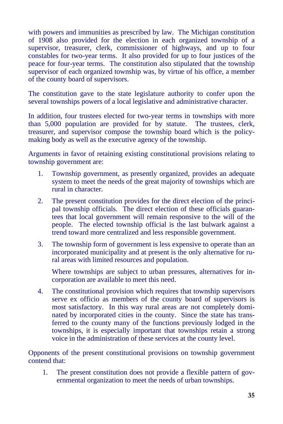with powers and immunities as prescribed by law. The Michigan constitution of 1908 also provided for the election in each organized township of a supervisor, treasurer, clerk, commissioner of highways, and up to four constables for two-year terms. It also provided for up to four justices of the peace for four-year terms. The constitution also stipulated that the township supervisor of each organized township was, by virtue of his office, a member of the county board of supervisors.

The constitution gave to the state legislature authority to confer upon the several townships powers of a local legislative and administrative character.

In addition, four trustees elected for two-year terms in townships with more than 5,000 population are provided for by statute. The trustees, clerk, treasurer, and supervisor compose the township board which is the policymaking body as well as the executive agency of the township.

Arguments in favor of retaining existing constitutional provisions relating to township government are:

- 1. Township government, as presently organized, provides an adequate system to meet the needs of the great majority of townships which are rural in character.
- 2. The present constitution provides for the direct election of the principal township officials. The direct election of these officials guarantees that local government will remain responsive to the will of the people. The elected township official is the last bulwark against a trend toward more centralized and less responsible government.
- 3. The township form of government is less expensive to operate than an incorporated municipality and at present is the only alternative for rural areas with limited resources and population.

Where townships are subject to urban pressures, alternatives for incorporation are available to meet this need.

4. The constitutional provision which requires that township supervisors serve ex officio as members of the county board of supervisors is most satisfactory. In this way rural areas are not completely dominated by incorporated cities in the county. Since the state has transferred to the county many of the functions previously lodged in the townships, it is especially important that townships retain a strong voice in the administration of these services at the county level.

Opponents of the present constitutional provisions on township government contend that:

1. The present constitution does not provide a flexible pattern of governmental organization to meet the needs of urban townships.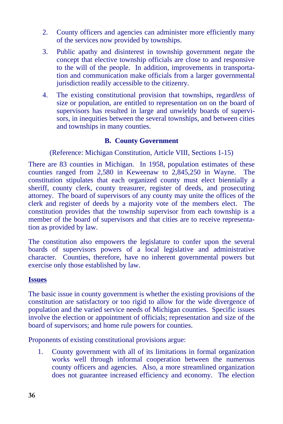- 2. County officers and agencies can administer more efficiently many of the services now provided by townships.
- 3. Public apathy and disinterest in township government negate the concept that elective township officials are close to and responsive to the will of the people. In addition, improvements in transportation and communication make officials from a larger governmental jurisdiction readily accessible to the citizenry.
- 4. The existing constitutional provision that townships, regard*less* of size or population, are entitled to representation on on the board of supervisors has resulted in large and unwieldy boards of supervisors, in inequities between the several townships, and between cities and townships in many counties.

#### **B. County Government**

#### (Reference: Michigan Constitution, Article VIII, Sections 1-15)

There are 83 counties in Michigan. In 1958, population estimates of these counties ranged from 2,580 in Keweenaw to 2,845,250 in Wayne. The constitution stipulates that each organized county must elect biennially a sheriff, county clerk, county treasurer, register of deeds, and prosecuting attorney. The board of supervisors of any county may unite the offices of the clerk and register of deeds by a majority vote of the members elect. The constitution provides that the township supervisor from each township is a member of the board of supervisors and that cities are to receive representation as provided by law.

The constitution also empowers the legislature to confer upon the several boards of supervisors powers of a local legislative and administrative character. Counties, therefore, have no inherent governmental powers but exercise only those established by law.

#### **Issues**

The basic issue in county government is whether the existing provisions of the constitution are satisfactory or too rigid to allow for the wide divergence of population and the varied service needs of Michigan counties. Specific issues involve the election or appointment of officials; representation and size of the board of supervisors; and home rule powers for counties.

Proponents of existing constitutional provisions argue:

1. County government with all of its limitations in formal organization works well through informal cooperation between the numerous county officers and agencies. Also, a more streamlined organization does not guarantee increased efficiency and economy. The election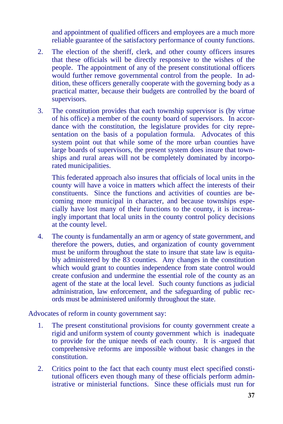and appointment of qualified officers and employees are a much more reliable guarantee of the satisfactory performance of county functions.

- 2. The election of the sheriff, clerk, and other county officers insures that these officials will be directly responsive to the wishes of the people. The appointment of any of the present constitutional officers would further remove governmental control from the people. In addition, these officers generally cooperate with the governing body as a practical matter, because their budgets are controlled by the board of supervisors.
- 3. The constitution provides that each township supervisor is (by virtue of his office) a member of the county board of supervisors. In accordance with the constitution, the legislature provides for city representation on the basis of a population formula. Advocates of this system point out that while some of the more urban counties have large boards of supervisors, the present system does insure that townships and rural areas will not be completely dominated by incorporated municipalities.

This federated approach also insures that officials of local units in the county will have a voice in matters which affect the interests of their constituents. Since the functions and activities of counties are becoming more municipal in character, and because townships especially have lost many of their functions to the county, it is increasingly important that local units in the county control policy decisions at the county level.

4. The county is fundamentally an arm or agency of state government, and therefore the powers, duties, and organization of county government must be uniform throughout the state to insure that state law is equitably administered by the 83 counties. Any changes in the constitution which would grant to counties independence from state control would create confusion and undermine the essential role of the county as an agent of the state at the local level. Such county functions as judicial administration, law enforcement, and the safeguarding of public records must be administered uniformly throughout the state.

Advocates of reform in county government say:

- 1. The present constitutional provisions for county government create a rigid and uniform system of county government which is inadequate to provide for the unique needs of each county. It is -argued that comprehensive reforms are impossible without basic changes in the constitution.
- 2. Critics point to the fact that each county must elect specified constitutional officers even though many of these officials perform administrative or ministerial functions. Since these officials must run for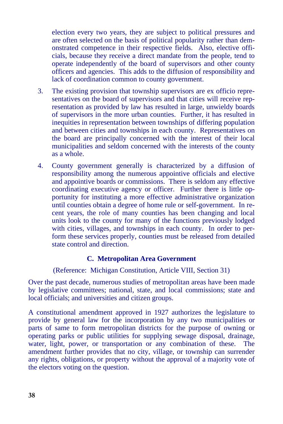election every two years, they are subject to political pressures and are often selected on the basis of political popularity rather than demonstrated competence in their respective fields. Also, elective officials, because they receive a direct mandate from the people, tend to operate independently of the board of supervisors and other county officers and agencies. This adds to the diffusion of responsibility and lack of coordination common to county government.

- 3. The existing provision that township supervisors are ex officio representatives on the board of supervisors and that cities will receive representation as provided by law has resulted in large, unwieldy boards of supervisors in the more urban counties. Further, it has resulted in inequities in representation between townships of differing population and between cities and townships in each county. Representatives on the board are principally concerned with the interest of their local municipalities and seldom concerned with the interests of the county as a whole.
- 4. County government generally is characterized by a diffusion of responsibility among the numerous appointive officials and elective and appointive boards or commissions. There is seldom any effective coordinating executive agency or officer. Further there is little opportunity for instituting a more effective administrative organization until counties obtain a degree of home rule or self-government. In recent years, the role of many counties has been changing and local units look to the county for many of the functions previously lodged with cities, villages, and townships in each county. In order to perform these services properly, counties must be released from detailed state control and direction.

#### **C. Metropolitan Area Government**

(Reference: Michigan Constitution, Article VIII, Section 31)

Over the past decade, numerous studies of metropolitan areas have been made by legislative committees; national, state, and local commissions; state and local officials; and universities and citizen groups.

A constitutional amendment approved in 1927 authorizes the legislature to provide by general law for the incorporation by any two municipalities or parts of same to form metropolitan districts for the purpose of owning or operating parks or public utilities for supplying sewage disposal, drainage, water, light, power, or transportation or any combination of these. The amendment further provides that no city, village, or township can surrender any rights, obligations, or property without the approval of a majority vote of the electors voting on the question.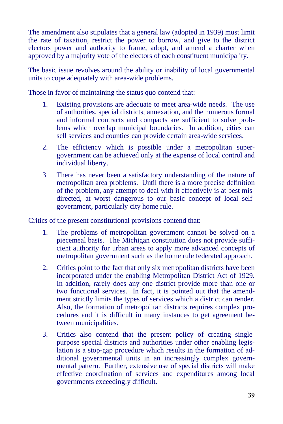The amendment also stipulates that a general law (adopted in 1939) must limit the rate of taxation, restrict the power to borrow, and give to the district electors power and authority to frame, adopt, and amend a charter when approved by a majority vote of the electors of each constituent municipality.

The basic issue revolves around the ability or inability of local governmental units to cope adequately with area-wide problems.

Those in favor of maintaining the status quo contend that:

- 1. Existing provisions are adequate to meet area-wide needs. The use of authorities, special districts, annexation, and the numerous formal and informal contracts and compacts are sufficient to solve problems which overlap municipal boundaries. In addition, cities can sell services and counties can provide certain area-wide services.
- 2. The efficiency which is possible under a metropolitan supergovernment can be achieved only at the expense of local control and individual liberty.
- 3. There has never been a satisfactory understanding of the nature of metropolitan area problems. Until there is a more precise definition of the problem, any attempt to deal with it effectively is at best misdirected, at worst dangerous to our basic concept of local selfgovernment, particularly city home rule.

Critics of the present constitutional provisions contend that:

- 1. The problems of metropolitan government cannot be solved on a piecemeal basis. The Michigan constitution does not provide sufficient authority for urban areas to apply more advanced concepts of metropolitan government such as the home rule federated approach.
- 2. Critics point to the fact that only six metropolitan districts have been incorporated under the enabling Metropolitan District Act of 1929. In addition, rarely does any one district provide more than one or two functional services. In fact, it is pointed out that the amendment strictly limits the types of services which a district can render. Also, the formation of metropolitan districts requires complex procedures and it is difficult in many instances to get agreement between municipalities.
- 3. Critics also contend that the present policy of creating singlepurpose special districts and authorities under other enabling legislation is a stop-gap procedure which results in the formation of additional governmental units in an increasingly complex governmental pattern. Further, extensive use of special districts will make effective coordination of services and expenditures among local governments exceedingly difficult.